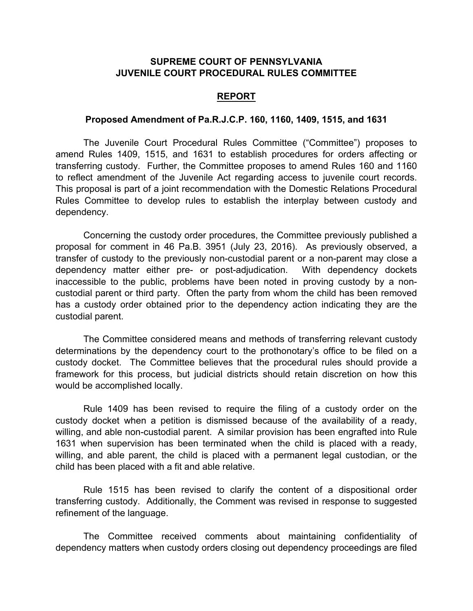## **SUPREME COURT OF PENNSYLVANIA JUVENILE COURT PROCEDURAL RULES COMMITTEE**

## **REPORT**

## **Proposed Amendment of Pa.R.J.C.P. 160, 1160, 1409, 1515, and 1631**

The Juvenile Court Procedural Rules Committee ("Committee") proposes to amend Rules 1409, 1515, and 1631 to establish procedures for orders affecting or transferring custody. Further, the Committee proposes to amend Rules 160 and 1160 to reflect amendment of the Juvenile Act regarding access to juvenile court records. This proposal is part of a joint recommendation with the Domestic Relations Procedural Rules Committee to develop rules to establish the interplay between custody and dependency.

Concerning the custody order procedures, the Committee previously published a proposal for comment in 46 Pa.B. 3951 (July 23, 2016). As previously observed, a transfer of custody to the previously non-custodial parent or a non-parent may close a dependency matter either pre- or post-adjudication. With dependency dockets inaccessible to the public, problems have been noted in proving custody by a noncustodial parent or third party. Often the party from whom the child has been removed has a custody order obtained prior to the dependency action indicating they are the custodial parent.

The Committee considered means and methods of transferring relevant custody determinations by the dependency court to the prothonotary's office to be filed on a custody docket. The Committee believes that the procedural rules should provide a framework for this process, but judicial districts should retain discretion on how this would be accomplished locally.

Rule 1409 has been revised to require the filing of a custody order on the custody docket when a petition is dismissed because of the availability of a ready, willing, and able non-custodial parent. A similar provision has been engrafted into Rule 1631 when supervision has been terminated when the child is placed with a ready, willing, and able parent, the child is placed with a permanent legal custodian, or the child has been placed with a fit and able relative.

Rule 1515 has been revised to clarify the content of a dispositional order transferring custody. Additionally, the Comment was revised in response to suggested refinement of the language.

The Committee received comments about maintaining confidentiality of dependency matters when custody orders closing out dependency proceedings are filed